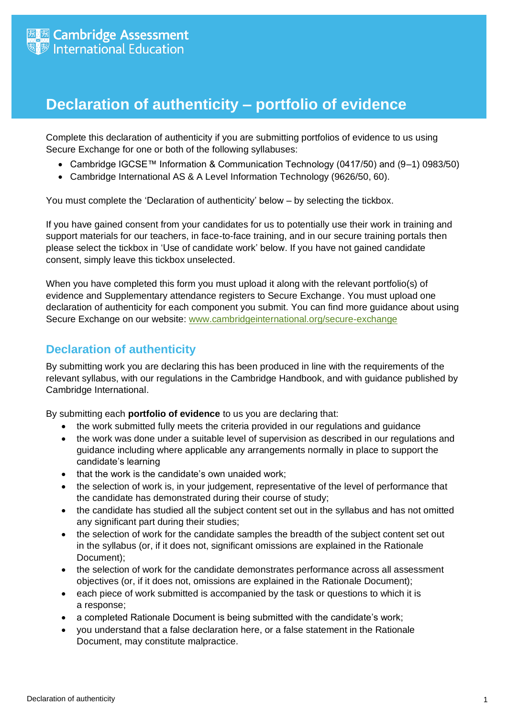## **Declaration of authenticity – portfolio of evidence**

Complete this declaration of authenticity if you are submitting portfolios of evidence to us using Secure Exchange for one or both of the following syllabuses:

- Cambridge IGCSE™ Information & Communication Technology (0417/50) and (9–1) 0983/50)
- Cambridge International AS & A Level Information Technology (9626/50, 60).

You must complete the 'Declaration of authenticity' below – by selecting the tickbox.

If you have gained consent from your candidates for us to potentially use their work in training and support materials for our teachers, in face-to-face training, and in our secure training portals then please select the tickbox in 'Use of candidate work' below. If you have not gained candidate consent, simply leave this tickbox unselected.

When you have completed this form you must upload it along with the relevant portfolio(s) of evidence and Supplementary attendance registers to Secure Exchange. You must upload one declaration of authenticity for each component you submit. You can find more guidance about using Secure Exchange on our website: [www.cambridgeinternational.org/secure-exchange](http://www.cambridgeinternational.org/secure-exchange)

## **Declaration of authenticity**

By submitting work you are declaring this has been produced in line with the requirements of the relevant syllabus, with our regulations in the Cambridge Handbook, and with guidance published by Cambridge International.

By submitting each **portfolio of evidence** to us you are declaring that:

- the work submitted fully meets the criteria provided in our regulations and guidance
- the work was done under a suitable level of supervision as described in our regulations and guidance including where applicable any arrangements normally in place to support the candidate's learning
- that the work is the candidate's own unaided work;
- the selection of work is, in your judgement, representative of the level of performance that the candidate has demonstrated during their course of study;
- the candidate has studied all the subject content set out in the syllabus and has not omitted any significant part during their studies;
- the selection of work for the candidate samples the breadth of the subject content set out in the syllabus (or, if it does not, significant omissions are explained in the Rationale Document);
- the selection of work for the candidate demonstrates performance across all assessment objectives (or, if it does not, omissions are explained in the Rationale Document);
- each piece of work submitted is accompanied by the task or questions to which it is a response;
- a completed Rationale Document is being submitted with the candidate's work;
- you understand that a false declaration here, or a false statement in the Rationale Document, may constitute malpractice.